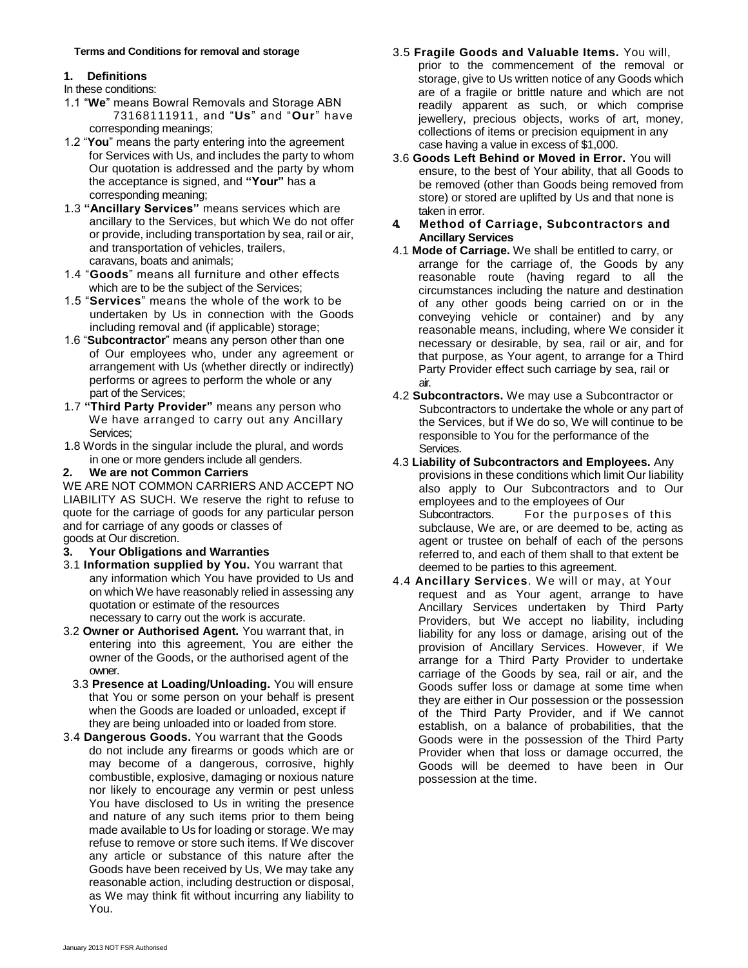### **1. Definitions**

- In these conditions:
- 1.1 "**We**" means Bowral Removals and Storage ABN 73168111911, and "**Us**" and "**Our**" have corresponding meanings;
- 1.2 "You" means the party entering into the agreement case having a value in excess of \$1,000. for Services with Us, and includes the party to whom Our quotation is addressed and the party by whom the acceptance is signed, and **"Your"** has a corresponding meaning;
- 1.3 "**Ancillary Services**" means services which are taken in error. ancillary to the Services, but which We do not offer or provide, including transportation by sea, rail or air, and transportation of vehicles, trailers,
- 1.4 "**Goods**" means all furniture and other effects which are to be the subject of the Services;
- 1.5 "**Services**" means the whole of the work to be undertaken by Us in connection with the Goods including removal and (if applicable) storage;
- 1.6 "**Subcontractor**" means any person other than one of Our employees who, under any agreement or arrangement with Us (whether directly or indirectly) performs or agrees to perform the whole or any air.<br>part of the Services:  $\frac{1}{4}$  2 Surf
- We have arranged to carry out any Ancillary Services;
- 1.8 Words in the singular include the plural, and words Services.<br>in one or more genders include all genders. 4.3 Liability of

### **2. We are not Common Carriers**

WE ARE NOT COMMON CARRIERS AND ACCEPT NO LIABILITY AS SUCH. We reserve the right to refuse to quote for the carriage of goods for any particular person and for carriage of any goods or classes of goods at Our discretion.

- 3.1 **Information supplied by You.** You warrant that deemed to be parties to this agreement. any information which You have provided to Us and on which We have reasonably relied in assessing any quotation or estimate of the resources necessary to carry out the work is accurate.
- 3.2 **Owner or Authorised Agent.** You warrant that, in entering into this agreement, You are either the owner of the Goods, or the authorised agent of the owner.
- 3.3 **Presence at Loading/Unloading.** You will ensure that You or some person on your behalf is present when the Goods are loaded or unloaded, except if they are being unloaded into or loaded from store.
- 3.4 **Dangerous Goods.** You warrant that the Goods do not include any firearms or goods which are or may become of a dangerous, corrosive, highly combustible, explosive, damaging or noxious nature nor likely to encourage any vermin or pest unless You have disclosed to Us in writing the presence and nature of any such items prior to them being made available to Us for loading or storage. We may refuse to remove or store such items. If We discover any article or substance of this nature after the Goods have been received by Us, We may take any reasonable action, including destruction or disposal, as We may think fit without incurring any liability to You.
- **Terms and Conditions for removal and storage** 3.5 **Fragile Goods and Valuable Items.** You will, prior to the commencement of the removal or storage, give to Us written notice of any Goods which are of a fragile or brittle nature and which are not readily apparent as such, or which comprise jewellery, precious objects, works of art, money, collections of items or precision equipment in any
	- 3.6 **Goods Left Behind or Moved in Error.** You will ensure, to the best of Your ability, that all Goods to be removed (other than Goods being removed from store) or stored are uplifted by Us and that none is
	- **4. Method of Carriage, Subcontractors and Ancillary Services**
	- 4.1 **Mode of Carriage.** We shall be entitled to carry, or caravans, boats and animals; and the carriage for the carriage of, the Goods by any reasonable route (having regard to all the circumstances including the nature and destination of any other goods being carried on or in the conveying vehicle or container) and by any reasonable means, including, where We consider it necessary or desirable, by sea, rail or air, and for that purpose, as Your agent, to arrange for a Third Party Provider effect such carriage by sea, rail or
- part of the Services; 4.2 **Subcontractors.** We may use a Subcontractor or Subcontractors to undertake the whole or any part of the Services, but if We do so, We will continue to be responsible to You for the performance of the
- 4.3 Liability of Subcontractors and Employees. Any provisions in these conditions which limit Our liability also apply to Our Subcontractors and to Our employees and to the employees of Our Subcontractors. For the purposes of this subclause, We are, or are deemed to be, acting as agent or trustee on behalf of each of the persons **3.** Your Obligations and Warranties referred to, and each of them shall to that extent be
	- 4.4 **Ancillary Services**. We will or may, at Your request and as Your agent, arrange to have Ancillary Services undertaken by Third Party Providers, but We accept no liability, including liability for any loss or damage, arising out of the provision of Ancillary Services. However, if We arrange for a Third Party Provider to undertake carriage of the Goods by sea, rail or air, and the Goods suffer loss or damage at some time when they are either in Our possession or the possession of the Third Party Provider, and if We cannot establish, on a balance of probabilities, that the Goods were in the possession of the Third Party Provider when that loss or damage occurred, the Goods will be deemed to have been in Our possession at the time.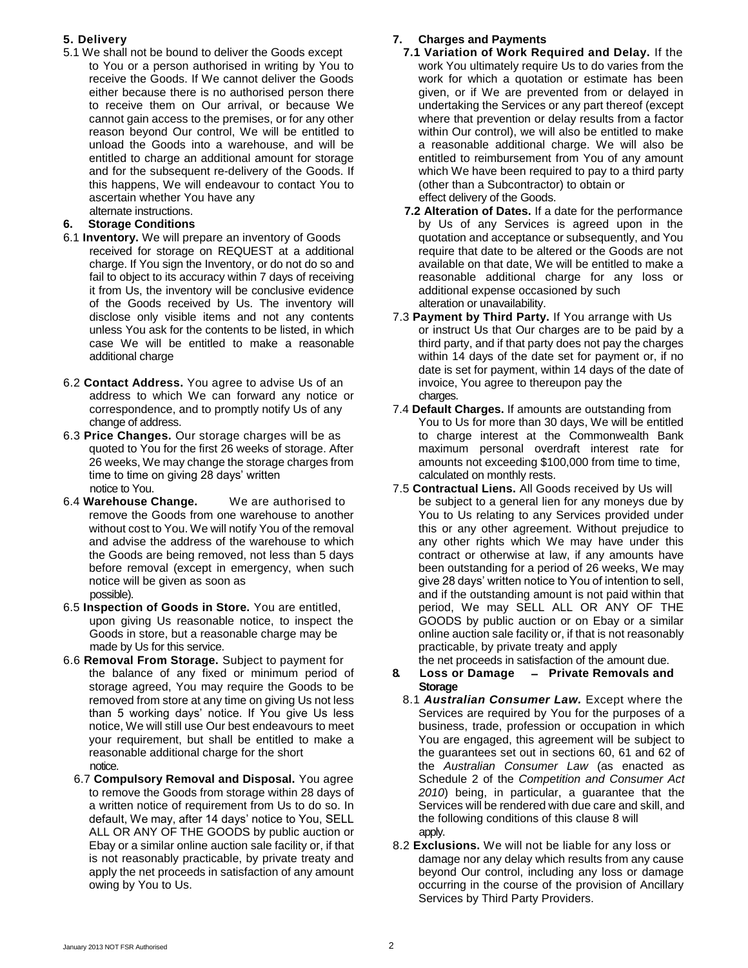- 5.1 We shall not be bound to deliver the Goods except **7.1 Variation of Work Required and Delay.** If the
- to You or a person authorised in writing by You to receive the Goods. If We cannot deliver the Goods either because there is no authorised person there to receive them on Our arrival, or because We cannot gain access to the premises, or for any other reason beyond Our control, We will be entitled to unload the Goods into a warehouse, and will be entitled to charge an additional amount for storage and for the subsequent re-delivery of the Goods. If this happens, We will endeavour to contact You to ascertain whether You have any

- 6.1 **Inventory.** We will prepare an inventory of Goods received for storage on REQUEST at a additional charge. If You sign the Inventory, or do not do so and fail to object to its accuracy within 7 days of receiving it from Us, the inventory will be conclusive evidence of the Goods received by Us. The inventory will disclose only visible items and not any contents unless You ask for the contents to be listed, in which case We will be entitled to make a reasonable additional charge
- . 6.2 **Contact Address.** You agree to advise Us of an invoice, You agree to thereupon pay the address to which We can forward any notice or correspondence, and to promptly notify Us of any
- 6.3 **Price Changes.** Our storage charges will be as quoted to You for the first 26 weeks of storage. After 26 weeks, We may change the storage charges from time to time on giving 28 days' written calculated on monthly rests.
- 6.4 **Warehouse Change.** We are authorised to be subject to a general lien for any moneys due by remove the Goods from one warehouse to another without cost to You. We will notify You of the removal and advise the address of the warehouse to which the Goods are being removed, not less than 5 days before removal (except in emergency, when such notice will be given as soon as possible).
- 6.5 **Inspection of Goods in Store.** You are entitled, upon giving Us reasonable notice, to inspect the Goods in store, but a reasonable charge may be made by Us for this service.
- 6.6 **Removal From Storage.** Subject to payment for the net proceeds in satisfaction of the amount due. the balance of any fixed or minimum period of storage agreed, You may require the Goods to be removed from store at any time on giving Us not less than 5 working days' notice. If You give Us less notice, We will still use Our best endeavours to meet your requirement, but shall be entitled to make a reasonable additional charge for the short notice.
	- 6.7 **Compulsory Removal and Disposal.** You agree to remove the Goods from storage within 28 days of a written notice of requirement from Us to do so. In default, We may, after 14 days' notice to You, SELL ALL OR ANY OF THE GOODS by public auction or Ebay or a similar online auction sale facility or, if that is not reasonably practicable, by private treaty and apply the net proceeds in satisfaction of any amount owing by You to Us.

# **5. Delivery 7. Charges and Payments**

- work You ultimately require Us to do varies from the work for which a quotation or estimate has been given, or if We are prevented from or delayed in undertaking the Services or any part thereof (except where that prevention or delay results from a factor within Our control), we will also be entitled to make a reasonable additional charge. We will also be entitled to reimbursement from You of any amount which We have been required to pay to a third party (other than a Subcontractor) to obtain or effect delivery of the Goods.
- alternate instructions. **7.2 Alteration of Dates.** If a date for the performance **6. Storage Conditions** by Us of any Services is agreed upon in the quotation and acceptance or subsequently, and You require that date to be altered or the Goods are not available on that date, We will be entitled to make a reasonable additional charge for any loss or additional expense occasioned by such alteration or unavailability.
	- 7.3 **Payment by Third Party.** If You arrange with Us or instruct Us that Our charges are to be paid by a third party, and if that party does not pay the charges within 14 days of the date set for payment or, if no date is set for payment, within 14 days of the date of charges.
	- 7.4 **Default Charges.** If amounts are outstanding from change of address. You to Us for more than 30 days, We will be entitled to charge interest at the Commonwealth Bank maximum personal overdraft interest rate for amounts not exceeding \$100,000 from time to time,
	- notice to You. 7.5 **Contractual Liens.** All Goods received by Us will You to Us relating to any Services provided under this or any other agreement. Without prejudice to any other rights which We may have under this contract or otherwise at law, if any amounts have been outstanding for a period of 26 weeks, We may give 28 days' written notice to You of intention to sell, and if the outstanding amount is not paid within that period, We may SELL ALL OR ANY OF THE GOODS by public auction or on Ebay or a similar online auction sale facility or, if that is not reasonably practicable, by private treaty and apply
		- **8. Loss or Damage – Private Removals and Storage**
		- 8.1 *Australian Consumer Law.* Except where the Services are required by You for the purposes of a business, trade, profession or occupation in which You are engaged, this agreement will be subject to the guarantees set out in sections 60, 61 and 62 of the *Australian Consumer Law* (as enacted as Schedule 2 of the *Competition and Consumer Act 2010*) being, in particular, a guarantee that the Services will be rendered with due care and skill, and the following conditions of this clause 8 will apply.
		- 8.2 **Exclusions.** We will not be liable for any loss or damage nor any delay which results from any cause beyond Our control, including any loss or damage occurring in the course of the provision of Ancillary Services by Third Party Providers.